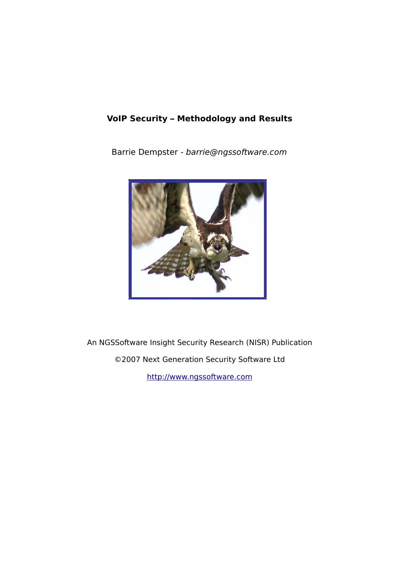## **VoIP Security – Methodology and Results**

Barrie Dempster - barrie@ngssoftware.com



An NGSSoftware Insight Security Research (NISR) Publication

©2007 Next Generation Security Software Ltd

[http://www.ngssoftware.com](http://www.ngssoftware.com/)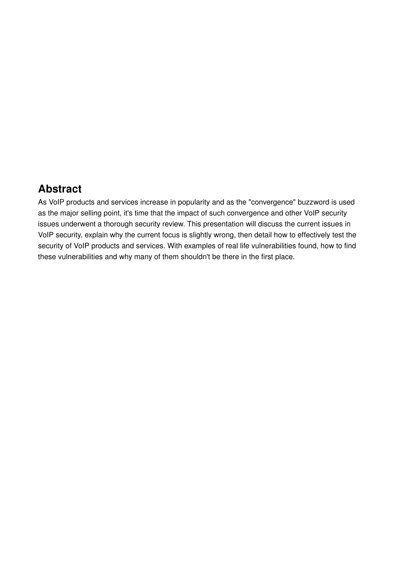## **Abstract**

As VoIP products and services increase in popularity and as the "convergence" buzzword is used as the major selling point, it's time that the impact of such convergence and other VoIP security issues underwent a thorough security review. This presentation will discuss the current issues in VoIP security, explain why the current focus is slightly wrong, then detail how to effectively test the security of VoIP products and services. With examples of real life vulnerabilities found, how to find these vulnerabilities and why many of them shouldn't be there in the first place.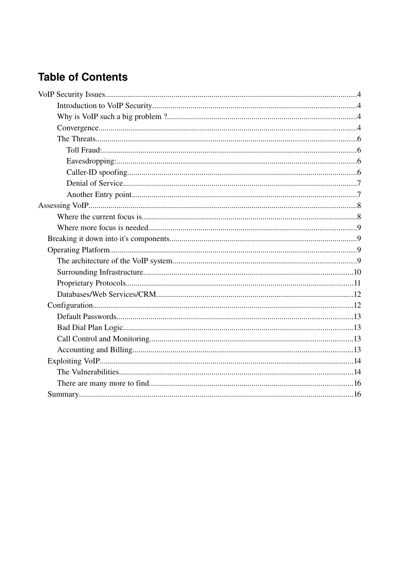# **Table of Contents**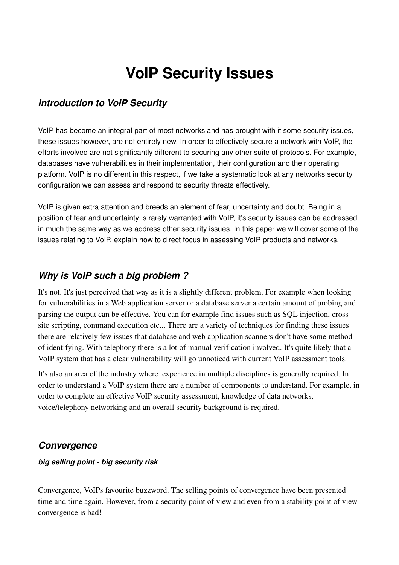# **VoIP Security Issues**

#### *Introduction to VoIP Security*

VoIP has become an integral part of most networks and has brought with it some security issues, these issues however, are not entirely new. In order to effectively secure a network with VoIP, the efforts involved are not significantly different to securing any other suite of protocols. For example, databases have vulnerabilities in their implementation, their configuration and their operating platform. VoIP is no different in this respect, if we take a systematic look at any networks security configuration we can assess and respond to security threats effectively.

VoIP is given extra attention and breeds an element of fear, uncertainty and doubt. Being in a position of fear and uncertainty is rarely warranted with VoIP, it's security issues can be addressed in much the same way as we address other security issues. In this paper we will cover some of the issues relating to VoIP, explain how to direct focus in assessing VoIP products and networks.

#### *Why is VoIP such a big problem ?*

It's not. It's just perceived that way as it is a slightly different problem. For example when looking for vulnerabilities in a Web application server or a database server a certain amount of probing and parsing the output can be effective. You can for example find issues such as SQL injection, cross site scripting, command execution etc... There are a variety of techniques for finding these issues there are relatively few issues that database and web application scanners don't have some method of identifying. With telephony there is a lot of manual verification involved. It's quite likely that a VoIP system that has a clear vulnerability will go unnoticed with current VoIP assessment tools.

It's also an area of the industry where experience in multiple disciplines is generally required. In order to understand a VoIP system there are a number of components to understand. For example, in order to complete an effective VoIP security assessment, knowledge of data networks, voice/telephony networking and an overall security background is required.

#### *Convergence*

#### *big selling point big security risk*

Convergence, VoIPs favourite buzzword. The selling points of convergence have been presented time and time again. However, from a security point of view and even from a stability point of view convergence is bad!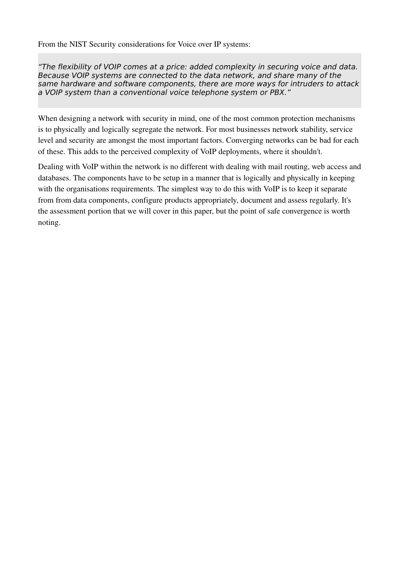From the NIST Security considerations for Voice over IP systems:

"The flexibility of VOIP comes at a price: added complexity in securing voice and data. Because VOIP systems are connected to the data network, and share many of the same hardware and software components, there are more ways for intruders to attack a VOIP system than a conventional voice telephone system or PBX."

When designing a network with security in mind, one of the most common protection mechanisms is to physically and logically segregate the network. For most businesses network stability, service level and security are amongst the most important factors. Converging networks can be bad for each of these. This adds to the perceived complexity of VoIP deployments, where it shouldn't.

Dealing with VoIP within the network is no different with dealing with mail routing, web access and databases. The components have to be setup in a manner that is logically and physically in keeping with the organisations requirements. The simplest way to do this with VoIP is to keep it separate from from data components, configure products appropriately, document and assess regularly. It's the assessment portion that we will cover in this paper, but the point of safe convergence is worth noting.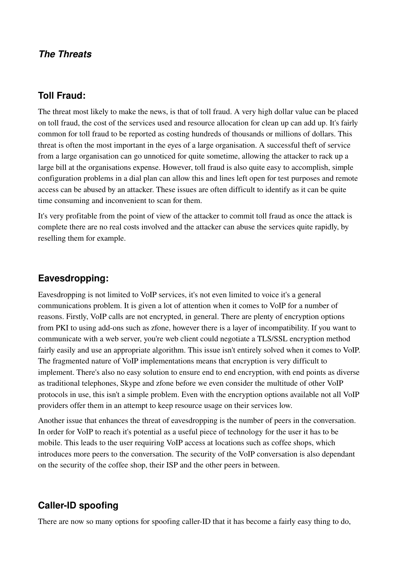#### *The Threats*

#### **Toll Fraud:**

The threat most likely to make the news, is that of toll fraud. A very high dollar value can be placed on toll fraud, the cost of the services used and resource allocation for clean up can add up. It's fairly common for toll fraud to be reported as costing hundreds of thousands or millions of dollars. This threat is often the most important in the eyes of a large organisation. A successful theft of service from a large organisation can go unnoticed for quite sometime, allowing the attacker to rack up a large bill at the organisations expense. However, toll fraud is also quite easy to accomplish, simple configuration problems in a dial plan can allow this and lines left open for test purposes and remote access can be abused by an attacker. These issues are often difficult to identify as it can be quite time consuming and inconvenient to scan for them.

It's very profitable from the point of view of the attacker to commit toll fraud as once the attack is complete there are no real costs involved and the attacker can abuse the services quite rapidly, by reselling them for example.

#### **Eavesdropping:**

Eavesdropping is not limited to VoIP services, it's not even limited to voice it's a general communications problem. It is given a lot of attention when it comes to VoIP for a number of reasons. Firstly, VoIP calls are not encrypted, in general. There are plenty of encryption options from PKI to using add-ons such as zfone, however there is a layer of incompatibility. If you want to communicate with a web server, you're web client could negotiate a TLS/SSL encryption method fairly easily and use an appropriate algorithm. This issue isn't entirely solved when it comes to VoIP. The fragmented nature of VoIP implementations means that encryption is very difficult to implement. There's also no easy solution to ensure end to end encryption, with end points as diverse as traditional telephones, Skype and zfone before we even consider the multitude of other VoIP protocols in use, this isn't a simple problem. Even with the encryption options available not all VoIP providers offer them in an attempt to keep resource usage on their services low.

Another issue that enhances the threat of eavesdropping is the number of peers in the conversation. In order for VoIP to reach it's potential as a useful piece of technology for the user it has to be mobile. This leads to the user requiring VoIP access at locations such as coffee shops, which introduces more peers to the conversation. The security of the VoIP conversation is also dependant on the security of the coffee shop, their ISP and the other peers in between.

#### **Caller-ID spoofing**

There are now so many options for spoofing caller-ID that it has become a fairly easy thing to do,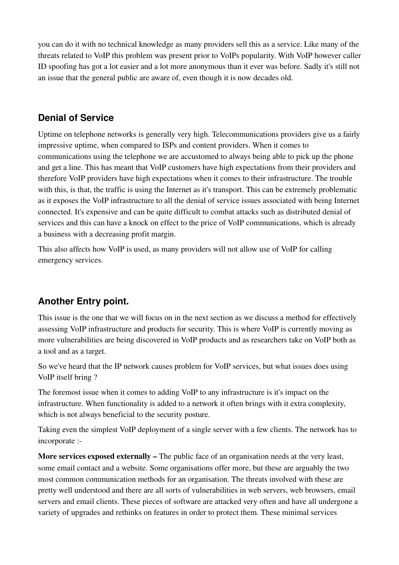you can do it with no technical knowledge as many providers sell this as a service. Like many of the threats related to VoIP this problem was present prior to VoIPs popularity. With VoIP however caller ID spoofing has got a lot easier and a lot more anonymous than it ever was before. Sadly it's still not an issue that the general public are aware of, even though it is now decades old.

### **Denial of Service**

Uptime on telephone networks is generally very high. Telecommunications providers give us a fairly impressive uptime, when compared to ISPs and content providers. When it comes to communications using the telephone we are accustomed to always being able to pick up the phone and get a line. This has meant that VoIP customers have high expectations from their providers and therefore VoIP providers have high expectations when it comes to their infrastructure. The trouble with this, is that, the traffic is using the Internet as it's transport. This can be extremely problematic as it exposes the VoIP infrastructure to all the denial of service issues associated with being Internet connected. It's expensive and can be quite difficult to combat attacks such as distributed denial of services and this can have a knock on effect to the price of VoIP communications, which is already a business with a decreasing profit margin.

This also affects how VoIP is used, as many providers will not allow use of VoIP for calling emergency services.

## **Another Entry point.**

This issue is the one that we will focus on in the next section as we discuss a method for effectively assessing VoIP infrastructure and products for security. This is where VoIP is currently moving as more vulnerabilities are being discovered in VoIP products and as researchers take on VoIP both as a tool and as a target.

So we've heard that the IP network causes problem for VoIP services, but what issues does using VoIP itself bring ?

The foremost issue when it comes to adding VoIP to any infrastructure is it's impact on the infrastructure. When functionality is added to a network it often brings with it extra complexity, which is not always beneficial to the security posture.

Taking even the simplest VoIP deployment of a single server with a few clients. The network has to incorporate :

More services exposed externally – The public face of an organisation needs at the very least, some email contact and a website. Some organisations offer more, but these are arguably the two most common communication methods for an organisation. The threats involved with these are pretty well understood and there are all sorts of vulnerabilities in web servers, web browsers, email servers and email clients. These pieces of software are attacked very often and have all undergone a variety of upgrades and rethinks on features in order to protect them. These minimal services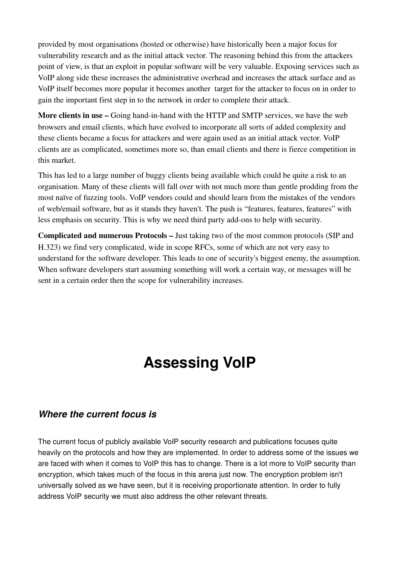provided by most organisations (hosted or otherwise) have historically been a major focus for vulnerability research and as the initial attack vector. The reasoning behind this from the attackers point of view, is that an exploit in popular software will be very valuable. Exposing services such as VoIP along side these increases the administrative overhead and increases the attack surface and as VoIP itself becomes more popular it becomes another target for the attacker to focus on in order to gain the important first step in to the network in order to complete their attack.

More clients in use – Going hand-in-hand with the HTTP and SMTP services, we have the web browsers and email clients, which have evolved to incorporate all sorts of added complexity and these clients became a focus for attackers and were again used as an initial attack vector. VoIP clients are as complicated, sometimes more so, than email clients and there is fierce competition in this market.

This has led to a large number of buggy clients being available which could be quite a risk to an organisation. Many of these clients will fall over with not much more than gentle prodding from the most naïve of fuzzing tools. VoIP vendors could and should learn from the mistakes of the vendors of web/email software, but as it stands they haven't. The push is "features, features, features" with less emphasis on security. This is why we need third party add-ons to help with security.

Complicated and numerous Protocols – Just taking two of the most common protocols (SIP and H.323) we find very complicated, wide in scope RFCs, some of which are not very easy to understand for the software developer. This leads to one of security's biggest enemy, the assumption. When software developers start assuming something will work a certain way, or messages will be sent in a certain order then the scope for vulnerability increases.

# **Assessing VoIP**

#### *Where the current focus is*

The current focus of publicly available VoIP security research and publications focuses quite heavily on the protocols and how they are implemented. In order to address some of the issues we are faced with when it comes to VoIP this has to change. There is a lot more to VoIP security than encryption, which takes much of the focus in this arena just now. The encryption problem isn't universally solved as we have seen, but it is receiving proportionate attention. In order to fully address VoIP security we must also address the other relevant threats.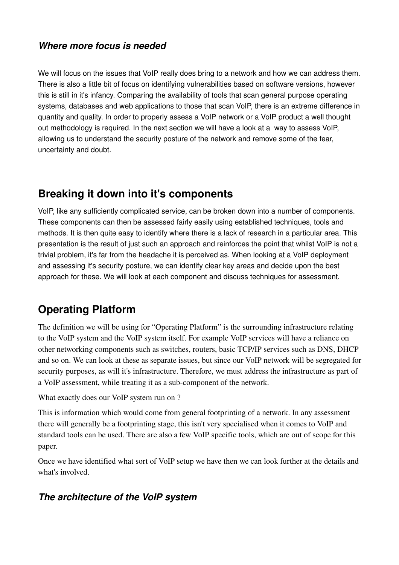#### *Where more focus is needed*

We will focus on the issues that VoIP really does bring to a network and how we can address them. There is also a little bit of focus on identifying vulnerabilities based on software versions, however this is still in it's infancy. Comparing the availability of tools that scan general purpose operating systems, databases and web applications to those that scan VoIP, there is an extreme difference in quantity and quality. In order to properly assess a VoIP network or a VoIP product a well thought out methodology is required. In the next section we will have a look at a way to assess VoIP, allowing us to understand the security posture of the network and remove some of the fear, uncertainty and doubt.

## **Breaking it down into it's components**

VoIP, like any sufficiently complicated service, can be broken down into a number of components. These components can then be assessed fairly easily using established techniques, tools and methods. It is then quite easy to identify where there is a lack of research in a particular area. This presentation is the result of just such an approach and reinforces the point that whilst VoIP is not a trivial problem, it's far from the headache it is perceived as. When looking at a VoIP deployment and assessing it's security posture, we can identify clear key areas and decide upon the best approach for these. We will look at each component and discuss techniques for assessment.

## **Operating Platform**

The definition we will be using for "Operating Platform" is the surrounding infrastructure relating to the VoIP system and the VoIP system itself. For example VoIP services will have a reliance on other networking components such as switches, routers, basic TCP/IP services such as DNS, DHCP and so on. We can look at these as separate issues, but since our VoIP network will be segregated for security purposes, as will it's infrastructure. Therefore, we must address the infrastructure as part of a VoIP assessment, while treating it as a sub-component of the network.

What exactly does our VoIP system run on ?

This is information which would come from general footprinting of a network. In any assessment there will generally be a footprinting stage, this isn't very specialised when it comes to VoIP and standard tools can be used. There are also a few VoIP specific tools, which are out of scope for this paper.

Once we have identified what sort of VoIP setup we have then we can look further at the details and what's involved.

#### *The architecture of the VoIP system*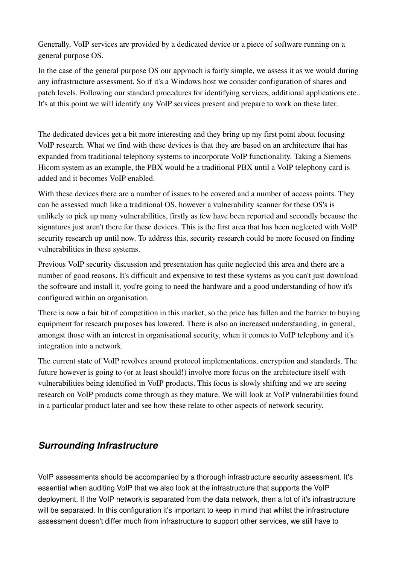Generally, VoIP services are provided by a dedicated device or a piece of software running on a general purpose OS.

In the case of the general purpose OS our approach is fairly simple, we assess it as we would during any infrastructure assessment. So if it's a Windows host we consider configuration of shares and patch levels. Following our standard procedures for identifying services, additional applications etc.. It's at this point we will identify any VoIP services present and prepare to work on these later.

The dedicated devices get a bit more interesting and they bring up my first point about focusing VoIP research. What we find with these devices is that they are based on an architecture that has expanded from traditional telephony systems to incorporate VoIP functionality. Taking a Siemens Hicom system as an example, the PBX would be a traditional PBX until a VoIP telephony card is added and it becomes VoIP enabled.

With these devices there are a number of issues to be covered and a number of access points. They can be assessed much like a traditional OS, however a vulnerability scanner for these OS's is unlikely to pick up many vulnerabilities, firstly as few have been reported and secondly because the signatures just aren't there for these devices. This is the first area that has been neglected with VoIP security research up until now. To address this, security research could be more focused on finding vulnerabilities in these systems.

Previous VoIP security discussion and presentation has quite neglected this area and there are a number of good reasons. It's difficult and expensive to test these systems as you can't just download the software and install it, you're going to need the hardware and a good understanding of how it's configured within an organisation.

There is now a fair bit of competition in this market, so the price has fallen and the barrier to buying equipment for research purposes has lowered. There is also an increased understanding, in general, amongst those with an interest in organisational security, when it comes to VoIP telephony and it's integration into a network.

The current state of VoIP revolves around protocol implementations, encryption and standards. The future however is going to (or at least should!) involve more focus on the architecture itself with vulnerabilities being identified in VoIP products. This focus is slowly shifting and we are seeing research on VoIP products come through as they mature. We will look at VoIP vulnerabilities found in a particular product later and see how these relate to other aspects of network security.

### *Surrounding Infrastructure*

VoIP assessments should be accompanied by a thorough infrastructure security assessment. It's essential when auditing VoIP that we also look at the infrastructure that supports the VoIP deployment. If the VoIP network is separated from the data network, then a lot of it's infrastructure will be separated. In this configuration it's important to keep in mind that whilst the infrastructure assessment doesn't differ much from infrastructure to support other services, we still have to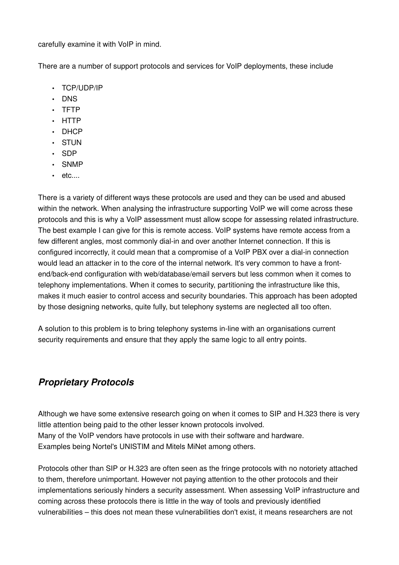carefully examine it with VoIP in mind.

There are a number of support protocols and services for VoIP deployments, these include

- TCP/UDP/IP
- DNS
- TFTP
- HTTP
- DHCP
- STUN
- SDP
- SNMP
- etc....

There is a variety of different ways these protocols are used and they can be used and abused within the network. When analysing the infrastructure supporting VoIP we will come across these protocols and this is why a VoIP assessment must allow scope for assessing related infrastructure. The best example I can give for this is remote access. VoIP systems have remote access from a few different angles, most commonly dial-in and over another Internet connection. If this is configured incorrectly, it could mean that a compromise of a VoIP PBX over a dialin connection would lead an attacker in to the core of the internal network. It's very common to have a frontend/back-end configuration with web/database/email servers but less common when it comes to telephony implementations. When it comes to security, partitioning the infrastructure like this, makes it much easier to control access and security boundaries. This approach has been adopted by those designing networks, quite fully, but telephony systems are neglected all too often.

A solution to this problem is to bring telephony systems in-line with an organisations current security requirements and ensure that they apply the same logic to all entry points.

#### *Proprietary Protocols*

Although we have some extensive research going on when it comes to SIP and H.323 there is very little attention being paid to the other lesser known protocols involved. Many of the VoIP vendors have protocols in use with their software and hardware. Examples being Nortel's UNISTIM and Mitels MiNet among others.

Protocols other than SIP or H.323 are often seen as the fringe protocols with no notoriety attached to them, therefore unimportant. However not paying attention to the other protocols and their implementations seriously hinders a security assessment. When assessing VoIP infrastructure and coming across these protocols there is little in the way of tools and previously identified vulnerabilities – this does not mean these vulnerabilities don't exist, it means researchers are not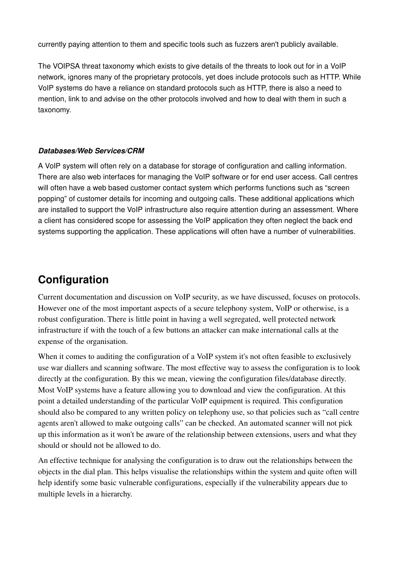currently paying attention to them and specific tools such as fuzzers aren't publicly available.

The VOIPSA threat taxonomy which exists to give details of the threats to look out for in a VoIP network, ignores many of the proprietary protocols, yet does include protocols such as HTTP. While VoIP systems do have a reliance on standard protocols such as HTTP, there is also a need to mention, link to and advise on the other protocols involved and how to deal with them in such a taxonomy.

#### *Databases/Web Services/CRM*

A VoIP system will often rely on a database for storage of configuration and calling information. There are also web interfaces for managing the VoIP software or for end user access. Call centres will often have a web based customer contact system which performs functions such as "screen popping" of customer details for incoming and outgoing calls. These additional applications which are installed to support the VoIP infrastructure also require attention during an assessment. Where a client has considered scope for assessing the VoIP application they often neglect the back end systems supporting the application. These applications will often have a number of vulnerabilities.

## **Configuration**

Current documentation and discussion on VoIP security, as we have discussed, focuses on protocols. However one of the most important aspects of a secure telephony system, VoIP or otherwise, is a robust configuration. There is little point in having a well segregated, well protected network infrastructure if with the touch of a few buttons an attacker can make international calls at the expense of the organisation.

When it comes to auditing the configuration of a VoIP system it's not often feasible to exclusively use war diallers and scanning software. The most effective way to assess the configuration is to look directly at the configuration. By this we mean, viewing the configuration files/database directly. Most VoIP systems have a feature allowing you to download and view the configuration. At this point a detailed understanding of the particular VoIP equipment is required. This configuration should also be compared to any written policy on telephony use, so that policies such as "call centre agents aren't allowed to make outgoing calls" can be checked. An automated scanner will not pick up this information as it won't be aware of the relationship between extensions, users and what they should or should not be allowed to do.

An effective technique for analysing the configuration is to draw out the relationships between the objects in the dial plan. This helps visualise the relationships within the system and quite often will help identify some basic vulnerable configurations, especially if the vulnerability appears due to multiple levels in a hierarchy.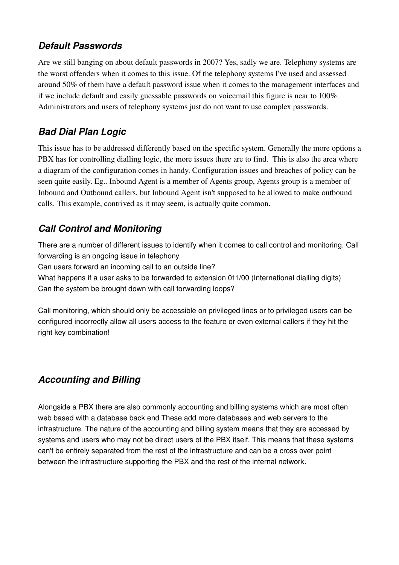### *Default Passwords*

Are we still banging on about default passwords in 2007? Yes, sadly we are. Telephony systems are the worst offenders when it comes to this issue. Of the telephony systems I've used and assessed around 50% of them have a default password issue when it comes to the management interfaces and if we include default and easily guessable passwords on voicemail this figure is near to 100%. Administrators and users of telephony systems just do not want to use complex passwords.

## *Bad Dial Plan Logic*

This issue has to be addressed differently based on the specific system. Generally the more options a PBX has for controlling dialling logic, the more issues there are to find. This is also the area where a diagram of the configuration comes in handy. Configuration issues and breaches of policy can be seen quite easily. Eg.. Inbound Agent is a member of Agents group, Agents group is a member of Inbound and Outbound callers, but Inbound Agent isn't supposed to be allowed to make outbound calls. This example, contrived as it may seem, is actually quite common.

## *Call Control and Monitoring*

There are a number of different issues to identify when it comes to call control and monitoring. Call forwarding is an ongoing issue in telephony.

Can users forward an incoming call to an outside line?

What happens if a user asks to be forwarded to extension 011/00 (International dialling digits) Can the system be brought down with call forwarding loops?

Call monitoring, which should only be accessible on privileged lines or to privileged users can be configured incorrectly allow all users access to the feature or even external callers if they hit the right key combination!

## *Accounting and Billing*

Alongside a PBX there are also commonly accounting and billing systems which are most often web based with a database back end These add more databases and web servers to the infrastructure. The nature of the accounting and billing system means that they are accessed by systems and users who may not be direct users of the PBX itself. This means that these systems can't be entirely separated from the rest of the infrastructure and can be a cross over point between the infrastructure supporting the PBX and the rest of the internal network.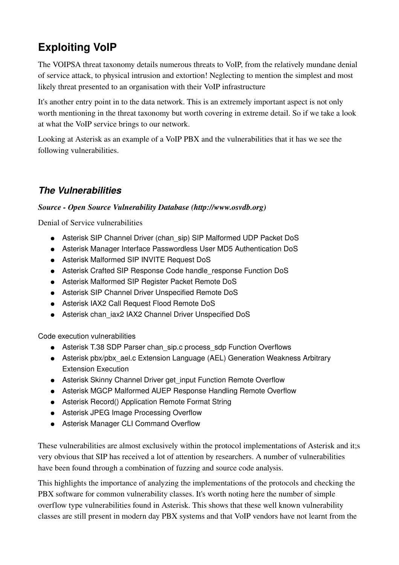# **Exploiting VoIP**

The VOIPSA threat taxonomy details numerous threats to VoIP, from the relatively mundane denial of service attack, to physical intrusion and extortion! Neglecting to mention the simplest and most likely threat presented to an organisation with their VoIP infrastructure

It's another entry point in to the data network. This is an extremely important aspect is not only worth mentioning in the threat taxonomy but worth covering in extreme detail. So if we take a look at what the VoIP service brings to our network.

Looking at Asterisk as an example of a VoIP PBX and the vulnerabilities that it has we see the following vulnerabilities.

## *The Vulnerabilities*

#### *Source Open Source Vulnerability Database (http://www.osvdb.org)*

Denial of Service vulnerabilities

- Asterisk SIP Channel Driver (chan sip) SIP Malformed UDP Packet DoS
- Asterisk Manager Interface Passwordless User MD5 Authentication DoS
- Asterisk Malformed SIP INVITE Request DoS
- Asterisk Crafted SIP Response Code handle response Function DoS
- Asterisk Malformed SIP Register Packet Remote DoS
- Asterisk SIP Channel Driver Unspecified Remote DoS
- Asterisk IAX2 Call Request Flood Remote DoS
- Asterisk chan\_iax2 IAX2 Channel Driver Unspecified DoS

Code execution vulnerabilities

- Asterisk T.38 SDP Parser chan\_sip.c process\_sdp Function Overflows
- Asterisk pbx/pbx\_ael.c Extension Language (AEL) Generation Weakness Arbitrary Extension Execution
- Asterisk Skinny Channel Driver get input Function Remote Overflow
- Asterisk MGCP Malformed AUEP Response Handling Remote Overflow
- Asterisk Record() Application Remote Format String
- Asterisk JPEG Image Processing Overflow
- Asterisk Manager CLI Command Overflow

These vulnerabilities are almost exclusively within the protocol implementations of Asterisk and it;s very obvious that SIP has received a lot of attention by researchers. A number of vulnerabilities have been found through a combination of fuzzing and source code analysis.

This highlights the importance of analyzing the implementations of the protocols and checking the PBX software for common vulnerability classes. It's worth noting here the number of simple overflow type vulnerabilities found in Asterisk. This shows that these well known vulnerability classes are still present in modern day PBX systems and that VoIP vendors have not learnt from the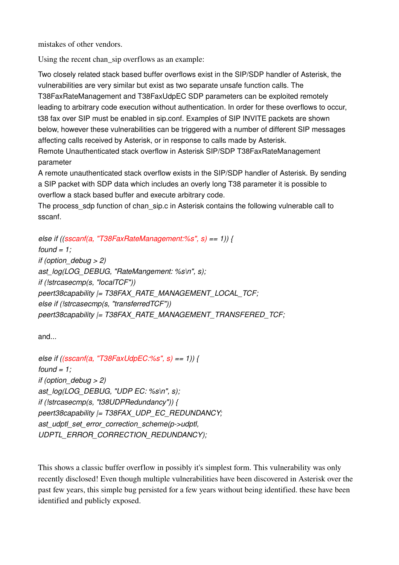mistakes of other vendors.

Using the recent chan sip overflows as an example:

Two closely related stack based buffer overflows exist in the SIP/SDP handler of Asterisk, the vulnerabilities are very similar but exist as two separate unsafe function calls. The T38FaxRateManagement and T38FaxUdpEC SDP parameters can be exploited remotely leading to arbitrary code execution without authentication. In order for these overflows to occur, t38 fax over SIP must be enabled in sip.conf. Examples of SIP INVITE packets are shown below, however these vulnerabilities can be triggered with a number of different SIP messages affecting calls received by Asterisk, or in response to calls made by Asterisk. Remote Unauthenticated stack overflow in Asterisk SIP/SDP T38FaxRateManagement parameter

A remote unauthenticated stack overflow exists in the SIP/SDP handler of Asterisk. By sending a SIP packet with SDP data which includes an overly long T38 parameter it is possible to overflow a stack based buffer and execute arbitrary code.

The process sdp function of chan sip.c in Asterisk contains the following vulnerable call to sscanf.

```
else if ((sscanf(a, "T38FaxRateManagement:%s", s) == 1)) {
found = 1;
if (option_debug > 2)
ast_log(LOG_DEBUG, "RateMangement: %s\n", s);
if (!strcasecmp(s, "localTCF"))
peert38capability |= T38FAX_RATE_MANAGEMENT_LOCAL_TCF;
else if (!strcasecmp(s, "transferredTCF"))
peert38capability |= T38FAX_RATE_MANAGEMENT_TRANSFERED_TCF;
```
and...

```
else if ((sscanf(a, "T38FaxUdpEC:%s", s) == 1)) {
found = 1;
if (option_debug > 2)
ast_log(LOG_DEBUG, "UDP EC: %s\n", s);
if (!strcasecmp(s, "t38UDPRedundancy")) {
peert38capability |= T38FAX_UDP_EC_REDUNDANCY;
ast_udptl_set_error_correction_scheme(p>udptl,
UDPTL_ERROR_CORRECTION_REDUNDANCY);
```
This shows a classic buffer overflow in possibly it's simplest form. This vulnerability was only recently disclosed! Even though multiple vulnerabilities have been discovered in Asterisk over the past few years, this simple bug persisted for a few years without being identified. these have been identified and publicly exposed.